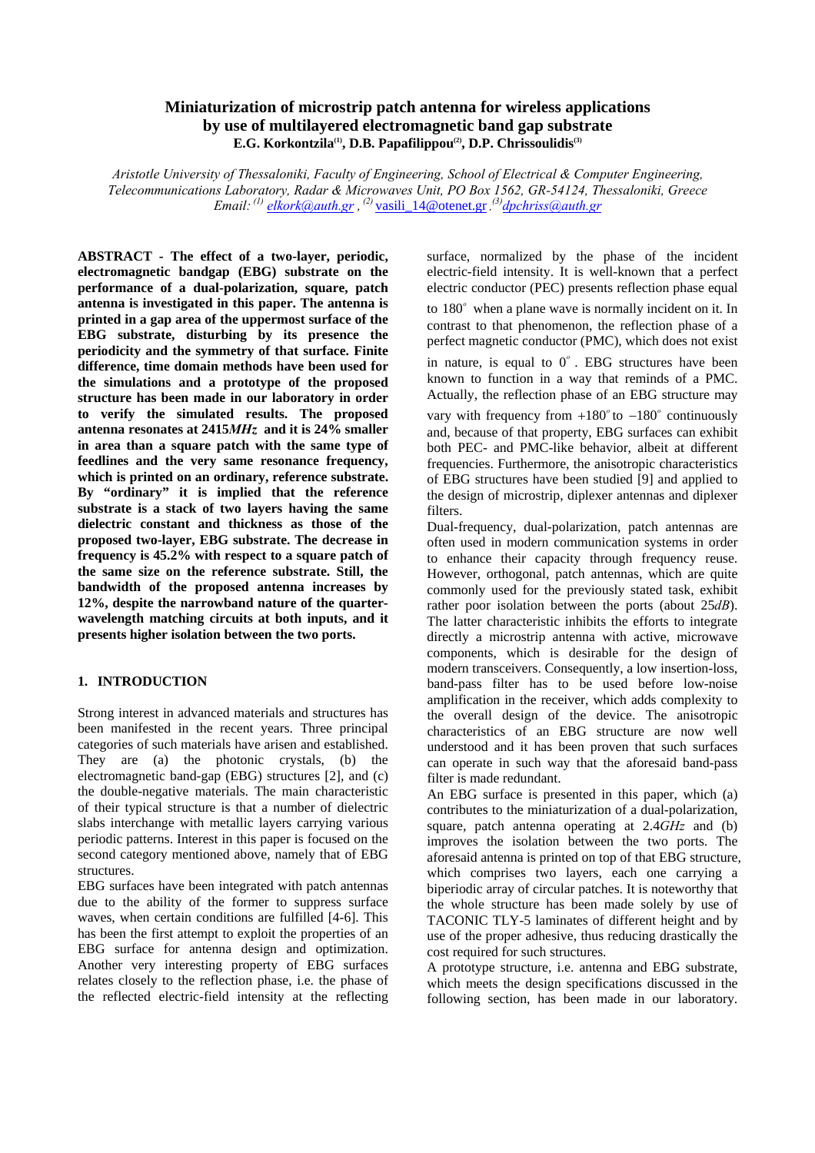# **Miniaturization of microstrip patch antenna for wireless applications by use of multilayered electromagnetic band gap substrate E.G. Korkontzila(1), D.B. Papafilippou(2), D.P. Chrissoulidis(3)**

*Aristotle University of Thessaloniki, Faculty of Engineering, School of Electrical & Computer Engineering, Telecommunications Laboratory, Radar & Microwaves Unit, PO Box 1562, GR-54124, Thessaloniki, Greece Email: (1) [elkork@auth.gr](mailto:elkork@auth.gr) , (2)* vasili\_14@otenet.gr *, (3) [dpchriss@auth.gr](mailto:dpchriss@auth.gr)*

**ABSTRACT - The effect of a two-layer, periodic, electromagnetic bandgap (EBG) substrate on the performance of a dual-polarization, square, patch antenna is investigated in this paper. The antenna is printed in a gap area of the uppermost surface of the EBG substrate, disturbing by its presence the periodicity and the symmetry of that surface. Finite difference, time domain methods have been used for the simulations and a prototype of the proposed structure has been made in our laboratory in order to verify the simulated results. The proposed antenna resonates at 2415***MHz* **and it is 24% smaller in area than a square patch with the same type of feedlines and the very same resonance frequency, which is printed on an ordinary, reference substrate. By "ordinary" it is implied that the reference substrate is a stack of two layers having the same dielectric constant and thickness as those of the proposed two-layer, EBG substrate. The decrease in frequency is 45.2% with respect to a square patch of the same size on the reference substrate. Still, the bandwidth of the proposed antenna increases by 12%, despite the narrowband nature of the quarterwavelength matching circuits at both inputs, and it presents higher isolation between the two ports.** 

# **1. INTRODUCTION**

Strong interest in advanced materials and structures has been manifested in the recent years. Three principal categories of such materials have arisen and established. They are (a) the photonic crystals, (b) the electromagnetic band-gap (EBG) structures [2], and (c) the double-negative materials. The main characteristic of their typical structure is that a number of dielectric slabs interchange with metallic layers carrying various periodic patterns. Interest in this paper is focused on the second category mentioned above, namely that of EBG structures.

EBG surfaces have been integrated with patch antennas due to the ability of the former to suppress surface waves, when certain conditions are fulfilled [4-6]. This has been the first attempt to exploit the properties of an EBG surface for antenna design and optimization. Another very interesting property of EBG surfaces relates closely to the reflection phase, i.e. the phase of the reflected electric-field intensity at the reflecting surface, normalized by the phase of the incident electric-field intensity. It is well-known that a perfect electric conductor (PEC) presents reflection phase equal to 180<sup>°</sup> when a plane wave is normally incident on it. In contrast to that phenomenon, the reflection phase of a perfect magnetic conductor (PMC), which does not exist in nature, is equal to  $0^\circ$ . EBG structures have been known to function in a way that reminds of a PMC. Actually, the reflection phase of an EBG structure may vary with frequency from  $+180^\circ$  to  $-180^\circ$  continuously and, because of that property, EBG surfaces can exhibit both PEC- and PMC-like behavior, albeit at different frequencies. Furthermore, the anisotropic characteristics of EBG structures have been studied [9] and applied to the design of microstrip, diplexer antennas and diplexer filters.

Dual-frequency, dual-polarization, patch antennas are often used in modern communication systems in order to enhance their capacity through frequency reuse. However, orthogonal, patch antennas, which are quite commonly used for the previously stated task, exhibit rather poor isolation between the ports (about 25*dB*). The latter characteristic inhibits the efforts to integrate directly a microstrip antenna with active, microwave components, which is desirable for the design of modern transceivers. Consequently, a low insertion-loss, band-pass filter has to be used before low-noise amplification in the receiver, which adds complexity to the overall design of the device. The anisotropic characteristics of an EBG structure are now well understood and it has been proven that such surfaces can operate in such way that the aforesaid band-pass filter is made redundant.

An EBG surface is presented in this paper, which (a) contributes to the miniaturization of a dual-polarization, square, patch antenna operating at 2.4*GHz* and (b) improves the isolation between the two ports. The aforesaid antenna is printed on top of that EBG structure, which comprises two layers, each one carrying a biperiodic array of circular patches. It is noteworthy that the whole structure has been made solely by use of TACONIC TLY-5 laminates of different height and by use of the proper adhesive, thus reducing drastically the cost required for such structures.

A prototype structure, i.e. antenna and EBG substrate, which meets the design specifications discussed in the following section, has been made in our laboratory.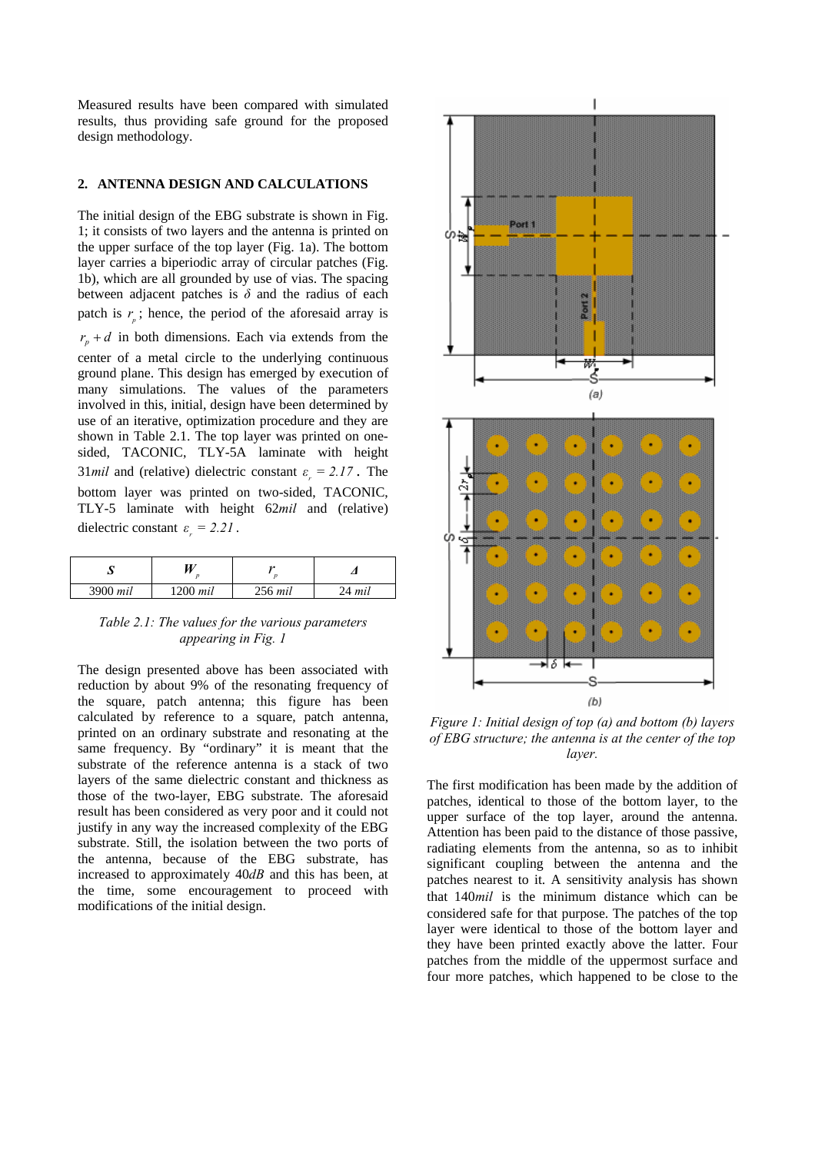Measured results have been compared with simulated results, thus providing safe ground for the proposed design methodology.

#### **2. ANTENNA DESIGN AND CALCULATIONS**

The initial design of the EBG substrate is shown in Fig. 1; it consists of two layers and the antenna is printed on the upper surface of the top layer (Fig. 1a). The bottom layer carries a biperiodic array of circular patches (Fig. 1b), which are all grounded by use of vias. The spacing between adjacent patches is  $\delta$  and the radius of each patch is  $r_{\rho}$ ; hence, the period of the aforesaid array is  $r_p + d$  in both dimensions. Each via extends from the center of a metal circle to the underlying continuous ground plane. This design has emerged by execution of many simulations. The values of the parameters involved in this, initial, design have been determined by use of an iterative, optimization procedure and they are shown in Table 2.1. The top layer was printed on onesided, TACONIC, TLY-5A laminate with height 31*mil* and (relative) dielectric constant  $\varepsilon$ <sub>r</sub> = 2.17. The bottom layer was printed on two-sided, TACONIC, TLY-5 laminate with height 62*mil* and (relative) dielectric constant  $\varepsilon_r = 2.21$ .

| ມ        |            | 24        |        |
|----------|------------|-----------|--------|
| 3900 mil | $1200$ mil | $256$ mil | 24 mil |

## *Table 2.1: The values for the various parameters appearing in Fig. 1*

The design presented above has been associated with reduction by about 9% of the resonating frequency of the square, patch antenna; this figure has been calculated by reference to a square, patch antenna, printed on an ordinary substrate and resonating at the same frequency. By "ordinary" it is meant that the substrate of the reference antenna is a stack of two layers of the same dielectric constant and thickness as those of the two-layer, EBG substrate. The aforesaid result has been considered as very poor and it could not justify in any way the increased complexity of the EBG substrate. Still, the isolation between the two ports of the antenna, because of the EBG substrate, has increased to approximately 40*dB* and this has been, at the time, some encouragement to proceed with modifications of the initial design.



*Figure 1: Initial design of top (a) and bottom (b) layers of EBG structure; the antenna is at the center of the top layer.* 

The first modification has been made by the addition of patches, identical to those of the bottom layer, to the upper surface of the top layer, around the antenna. Attention has been paid to the distance of those passive, radiating elements from the antenna, so as to inhibit significant coupling between the antenna and the patches nearest to it. A sensitivity analysis has shown that 140*mil* is the minimum distance which can be considered safe for that purpose. The patches of the top layer were identical to those of the bottom layer and they have been printed exactly above the latter. Four patches from the middle of the uppermost surface and four more patches, which happened to be close to the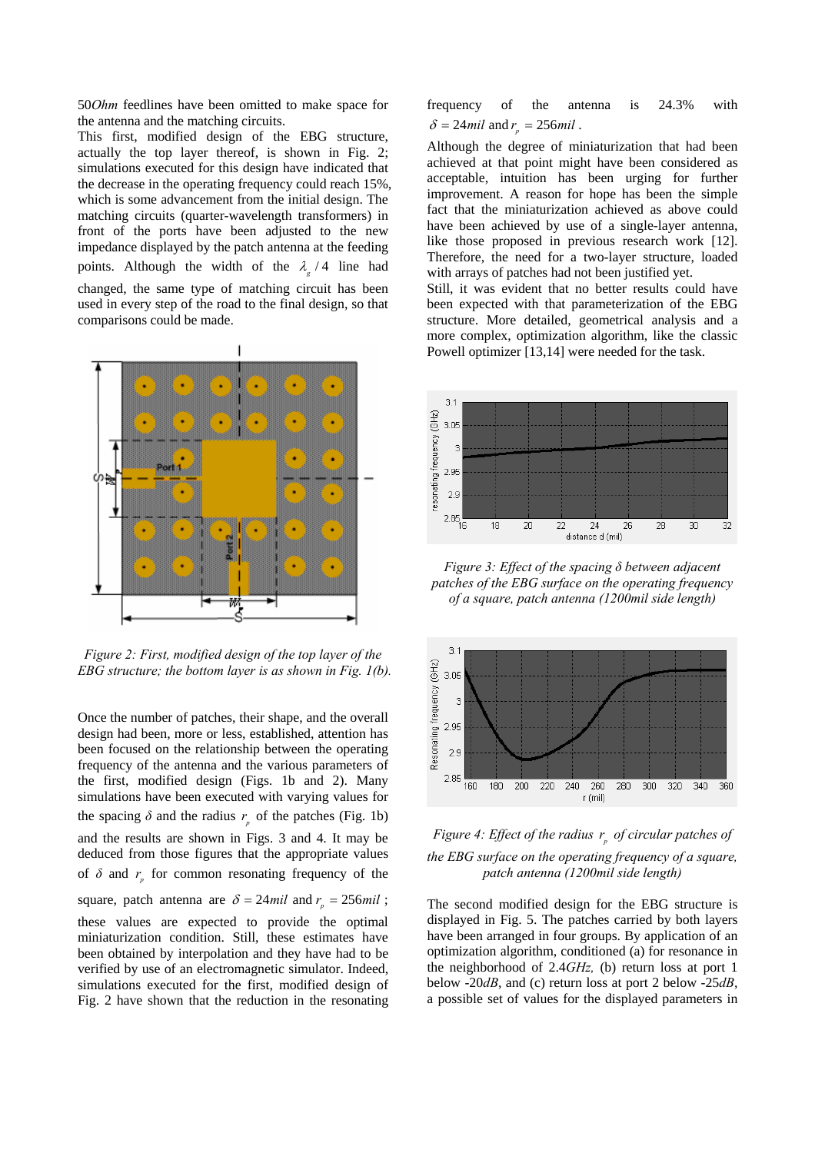50*Ohm* feedlines have been omitted to make space for the antenna and the matching circuits.

This first, modified design of the EBG structure, actually the top layer thereof, is shown in Fig. 2; simulations executed for this design have indicated that the decrease in the operating frequency could reach 15%, which is some advancement from the initial design. The matching circuits (quarter-wavelength transformers) in front of the ports have been adjusted to the new impedance displayed by the patch antenna at the feeding points. Although the width of the  $\lambda_g / 4$  line had changed, the same type of matching circuit has been used in every step of the road to the final design, so that comparisons could be made.



*Figure 2: First, modified design of the top layer of the EBG structure; the bottom layer is as shown in Fig. 1(b).* 

Once the number of patches, their shape, and the overall design had been, more or less, established, attention has been focused on the relationship between the operating frequency of the antenna and the various parameters of the first, modified design (Figs. 1b and 2). Many simulations have been executed with varying values for the spacing  $\delta$  and the radius  $r<sub>s</sub>$  of the patches (Fig. 1b) and the results are shown in Figs. 3 and 4. It may be deduced from those figures that the appropriate values of  $\delta$  and  $r_{n}$  for common resonating frequency of the square, patch antenna are  $\delta = 24$ *mil* and  $r_p = 256$ *mil*; these values are expected to provide the optimal miniaturization condition. Still, these estimates have been obtained by interpolation and they have had to be verified by use of an electromagnetic simulator. Indeed, simulations executed for the first, modified design of Fig. 2 have shown that the reduction in the resonating

frequency of the antenna is 24.3% with  $\delta = 24$ *mil* and  $r_n = 256$ *mil*.

Although the degree of miniaturization that had been achieved at that point might have been considered as acceptable, intuition has been urging for further improvement. A reason for hope has been the simple fact that the miniaturization achieved as above could have been achieved by use of a single-layer antenna, like those proposed in previous research work [12]. Therefore, the need for a two-layer structure, loaded with arrays of patches had not been justified yet.

Still, it was evident that no better results could have been expected with that parameterization of the EBG structure. More detailed, geometrical analysis and a more complex, optimization algorithm, like the classic Powell optimizer [13,14] were needed for the task.



*Figure 3: Effect of the spacing δ between adjacent patches of the EBG surface on the operating frequency of a square, patch antenna (1200mil side length)*



*Figure 4: Effect of the radius*  $r_a$  *of circular patches of the EBG surface on the operating frequency of a square, patch antenna (1200mil side length)*

The second modified design for the EBG structure is displayed in Fig. 5. The patches carried by both layers have been arranged in four groups. By application of an optimization algorithm, conditioned (a) for resonance in the neighborhood of 2.4*GHz,* (b) return loss at port 1 below -20*dB*, and (c) return loss at port 2 below -25*dB*, a possible set of values for the displayed parameters in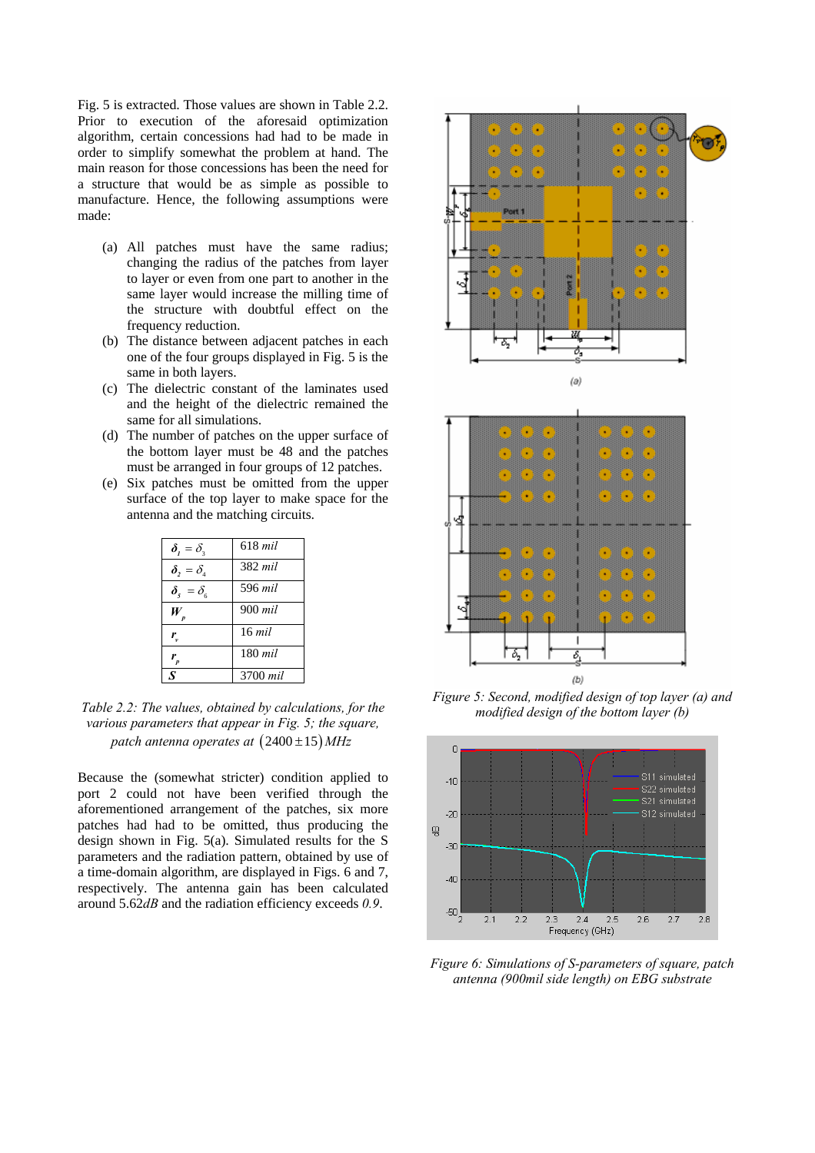Fig. 5 is extracted. Those values are shown in Table 2.2. Prior to execution of the aforesaid optimization algorithm, certain concessions had had to be made in order to simplify somewhat the problem at hand. The main reason for those concessions has been the need for a structure that would be as simple as possible to manufacture. Hence, the following assumptions were made:

- (a) All patches must have the same radius; changing the radius of the patches from layer to layer or even from one part to another in the same layer would increase the milling time of the structure with doubtful effect on the frequency reduction.
- (b) The distance between adjacent patches in each one of the four groups displayed in Fig. 5 is the same in both layers.
- (c) The dielectric constant of the laminates used and the height of the dielectric remained the same for all simulations.
- (d) The number of patches on the upper surface of the bottom layer must be 48 and the patches must be arranged in four groups of 12 patches.
- (e) Six patches must be omitted from the upper surface of the top layer to make space for the antenna and the matching circuits.

| $\delta_{1}=\delta_{2}$                   | $618$ mil |
|-------------------------------------------|-----------|
| $\boldsymbol{\delta}_{1}=\delta_{4}$      | 382 mil   |
| $\delta_{\varsigma} = \delta_{\varsigma}$ | 596 mil   |
| W                                         | 900 mil   |
| r.                                        | $16$ mil  |
|                                           | 180 mil   |
|                                           | 3700 mil  |

*Table 2.2: The values, obtained by calculations, for the various parameters that appear in Fig. 5; the square, patch antenna operates at*  $(2400 \pm 15) MHz$ 

Because the (somewhat stricter) condition applied to port 2 could not have been verified through the aforementioned arrangement of the patches, six more patches had had to be omitted, thus producing the design shown in Fig. 5(a). Simulated results for the S parameters and the radiation pattern, obtained by use of a time-domain algorithm, are displayed in Figs. 6 and 7, respectively. The antenna gain has been calculated around 5.62*dB* and the radiation efficiency exceeds *0.9*.





*Figure 5: Second, modified design of top layer (a) and modified design of the bottom layer (b)*



*Figure 6: Simulations of S-parameters of square, patch antenna (900mil side length) on EBG substrate*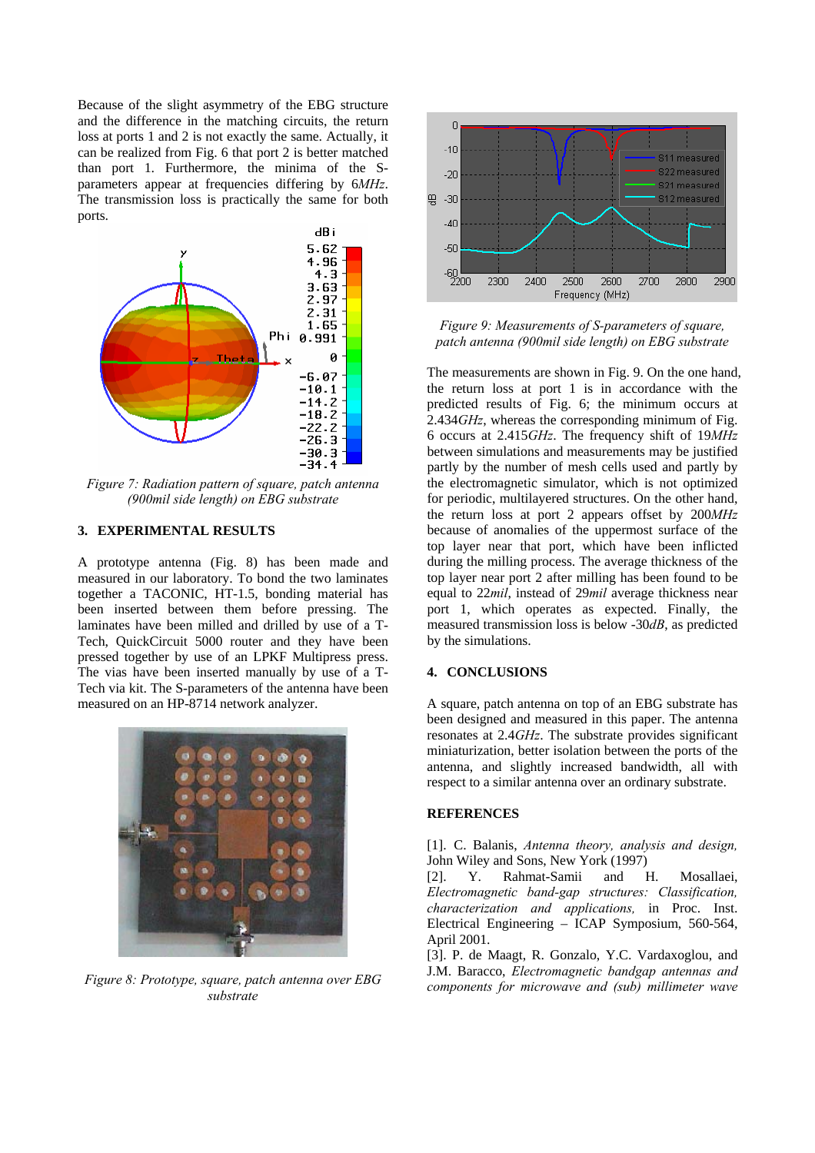Because of the slight asymmetry of the EBG structure and the difference in the matching circuits, the return loss at ports 1 and 2 is not exactly the same. Actually, it can be realized from Fig. 6 that port 2 is better matched than port 1. Furthermore, the minima of the Sparameters appear at frequencies differing by 6*MHz*. The transmission loss is practically the same for both ports.



*Figure 7: Radiation pattern of square, patch antenna (900mil side length) on EBG substrate* 

### **3. EXPERIMENTAL RESULTS**

A prototype antenna (Fig. 8) has been made and measured in our laboratory. To bond the two laminates together a TACONIC, HT-1.5, bonding material has been inserted between them before pressing. The laminates have been milled and drilled by use of a T-Tech, QuickCircuit 5000 router and they have been pressed together by use of an LPKF Multipress press. The vias have been inserted manually by use of a T-Tech via kit. The S-parameters of the antenna have been measured on an HP-8714 network analyzer.



*Figure 8: Prototype, square, patch antenna over EBG substrate* 



*Figure 9: Measurements of S-parameters of square, patch antenna (900mil side length) on EBG substrate* 

The measurements are shown in Fig. 9. On the one hand, the return loss at port 1 is in accordance with the predicted results of Fig. 6; the minimum occurs at 2.434*GHz*, whereas the corresponding minimum of Fig. 6 occurs at 2.415*GHz*. The frequency shift of 19*MHz* between simulations and measurements may be justified partly by the number of mesh cells used and partly by the electromagnetic simulator, which is not optimized for periodic, multilayered structures. On the other hand, the return loss at port 2 appears offset by 200*MHz* because of anomalies of the uppermost surface of the top layer near that port, which have been inflicted during the milling process. The average thickness of the top layer near port 2 after milling has been found to be equal to 22*mil*, instead of 29*mil* average thickness near port 1, which operates as expected. Finally, the measured transmission loss is below -30*dB*, as predicted by the simulations.

### **4. CONCLUSIONS**

A square, patch antenna on top of an EBG substrate has been designed and measured in this paper. The antenna resonates at 2.4*GHz*. The substrate provides significant miniaturization, better isolation between the ports of the antenna, and slightly increased bandwidth, all with respect to a similar antenna over an ordinary substrate.

#### **REFERENCES**

[1]. C. Balanis, *Antenna theory, analysis and design,* John Wiley and Sons, New York (1997)

[2]. Y. Rahmat-Samii and H. Mosallaei, *Electromagnetic band-gap structures: Classification, characterization and applications,* in Proc. Inst. Electrical Engineering – ICAP Symposium, 560-564, April 2001.

[3]. P. de Maagt, R. Gonzalo, Y.C. Vardaxoglou, and J.M. Baracco, *Electromagnetic bandgap antennas and components for microwave and (sub) millimeter wave*